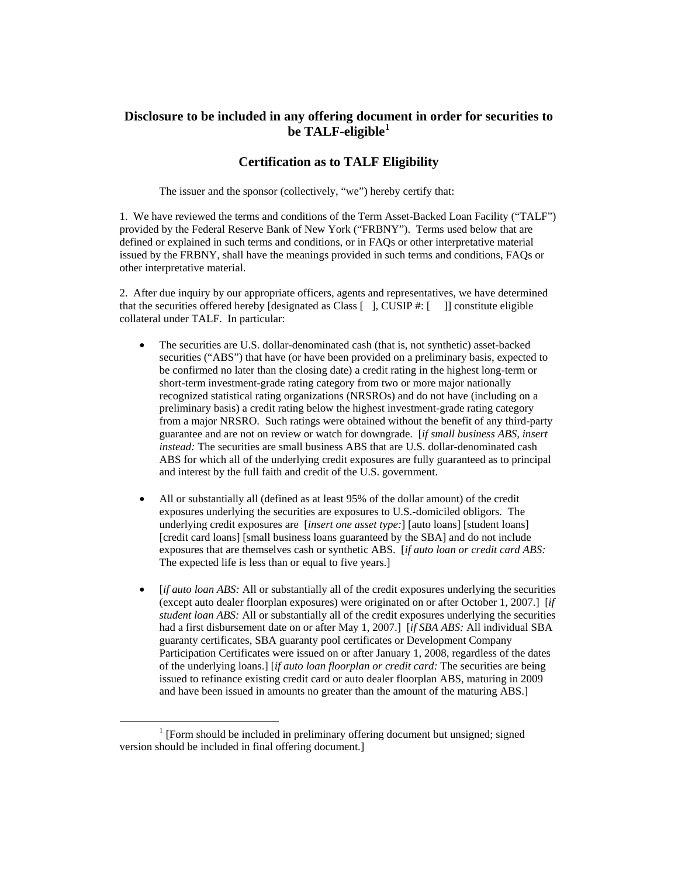# **Disclosure to be included in any offering document in order for securities to be TALF-eligible[1](#page-0-0)**

### **Certification as to TALF Eligibility**

The issuer and the sponsor (collectively, "we") hereby certify that:

1. We have reviewed the terms and conditions of the Term Asset-Backed Loan Facility ("TALF") provided by the Federal Reserve Bank of New York ("FRBNY"). Terms used below that are defined or explained in such terms and conditions, or in FAQs or other interpretative material issued by the FRBNY, shall have the meanings provided in such terms and conditions, FAQs or other interpretative material.

2. After due inquiry by our appropriate officers, agents and representatives, we have determined that the securities offered hereby  $[designated as Class [ ]$ , CUSIP #:  $[ ]$  [] constitute eligible collateral under TALF. In particular:

- The securities are U.S. dollar-denominated cash (that is, not synthetic) asset-backed securities ("ABS") that have (or have been provided on a preliminary basis, expected to be confirmed no later than the closing date) a credit rating in the highest long-term or short-term investment-grade rating category from two or more major nationally recognized statistical rating organizations (NRSROs) and do not have (including on a preliminary basis) a credit rating below the highest investment-grade rating category from a major NRSRO. Such ratings were obtained without the benefit of any third-party guarantee and are not on review or watch for downgrade. [*if small business ABS, insert instead:* The securities are small business ABS that are U.S. dollar-denominated cash ABS for which all of the underlying credit exposures are fully guaranteed as to principal and interest by the full faith and credit of the U.S. government.
- All or substantially all (defined as at least 95% of the dollar amount) of the credit exposures underlying the securities are exposures to U.S.-domiciled obligors. The underlying credit exposures are [*insert one asset type:*] [auto loans] [student loans] [credit card loans] [small business loans guaranteed by the SBA] and do not include exposures that are themselves cash or synthetic ABS. [*if auto loan or credit card ABS:*  The expected life is less than or equal to five years.]
- [*if auto loan ABS:* All or substantially all of the credit exposures underlying the securities (except auto dealer floorplan exposures) were originated on or after October 1, 2007.] [*if student loan ABS:* All or substantially all of the credit exposures underlying the securities had a first disbursement date on or after May 1, 2007.] [*if SBA ABS:* All individual SBA guaranty certificates, SBA guaranty pool certificates or Development Company Participation Certificates were issued on or after January 1, 2008, regardless of the dates of the underlying loans.] [*if auto loan floorplan or credit card:* The securities are being issued to refinance existing credit card or auto dealer floorplan ABS, maturing in 2009 and have been issued in amounts no greater than the amount of the maturing ABS.]

<span id="page-0-0"></span> $\frac{1}{1}$  $\frac{1}{1}$  [Form should be included in preliminary offering document but unsigned; signed version should be included in final offering document.]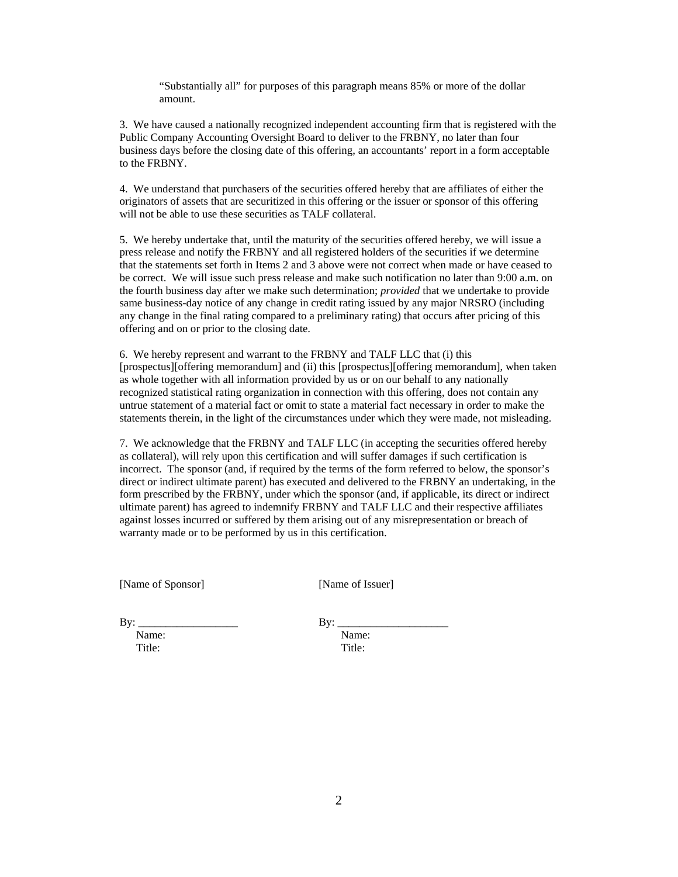"Substantially all" for purposes of this paragraph means 85% or more of the dollar amount.

3. We have caused a nationally recognized independent accounting firm that is registered with the Public Company Accounting Oversight Board to deliver to the FRBNY, no later than four business days before the closing date of this offering, an accountants' report in a form acceptable to the FRBNY.

4. We understand that purchasers of the securities offered hereby that are affiliates of either the originators of assets that are securitized in this offering or the issuer or sponsor of this offering will not be able to use these securities as TALF collateral.

5. We hereby undertake that, until the maturity of the securities offered hereby, we will issue a press release and notify the FRBNY and all registered holders of the securities if we determine that the statements set forth in Items 2 and 3 above were not correct when made or have ceased to be correct. We will issue such press release and make such notification no later than 9:00 a.m. on the fourth business day after we make such determination; *provided* that we undertake to provide same business-day notice of any change in credit rating issued by any major NRSRO (including any change in the final rating compared to a preliminary rating) that occurs after pricing of this offering and on or prior to the closing date.

6. We hereby represent and warrant to the FRBNY and TALF LLC that (i) this [prospectus][offering memorandum] and (ii) this [prospectus][offering memorandum], when taken as whole together with all information provided by us or on our behalf to any nationally recognized statistical rating organization in connection with this offering, does not contain any untrue statement of a material fact or omit to state a material fact necessary in order to make the statements therein, in the light of the circumstances under which they were made, not misleading.

7. We acknowledge that the FRBNY and TALF LLC (in accepting the securities offered hereby as collateral), will rely upon this certification and will suffer damages if such certification is incorrect. The sponsor (and, if required by the terms of the form referred to below, the sponsor's direct or indirect ultimate parent) has executed and delivered to the FRBNY an undertaking, in the form prescribed by the FRBNY, under which the sponsor (and, if applicable, its direct or indirect ultimate parent) has agreed to indemnify FRBNY and TALF LLC and their respective affiliates against losses incurred or suffered by them arising out of any misrepresentation or breach of warranty made or to be performed by us in this certification.

[Name of Sponsor] [Name of Issuer]

By: \_\_\_\_\_\_\_\_\_\_\_\_\_\_\_\_\_\_ By: \_\_\_\_\_\_\_\_\_\_\_\_\_\_\_\_\_\_\_\_ Name: Name: Title: Title: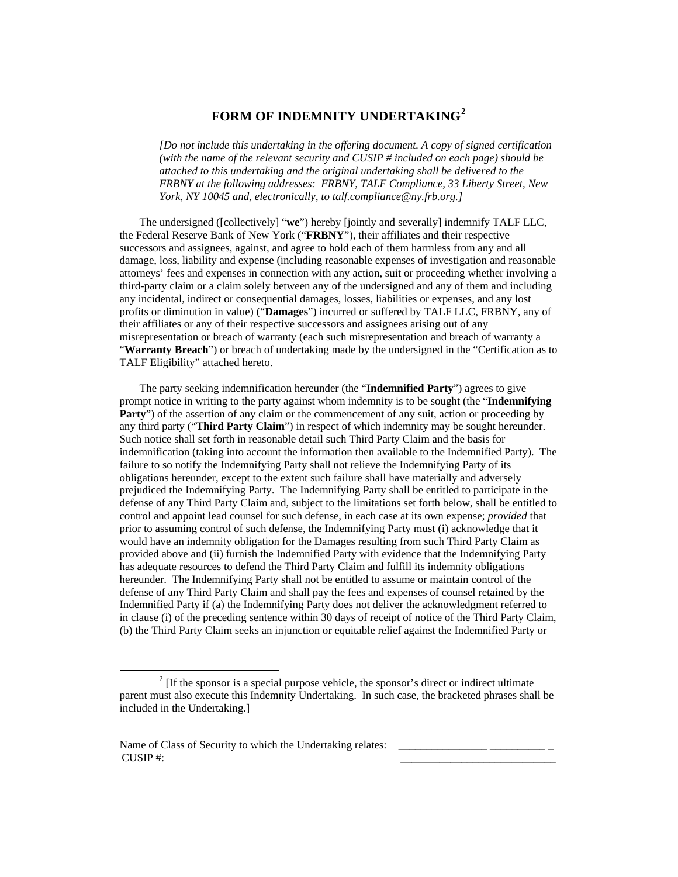## **FORM OF INDEMNITY UNDERTAKING[2](#page-2-0)**

*[Do not include this undertaking in the offering document. A copy of signed certification (with the name of the relevant security and CUSIP # included on each page) should be attached to this undertaking and the original undertaking shall be delivered to the FRBNY at the following addresses: FRBNY, TALF Compliance, 33 Liberty Street, New York, NY 10045 and, electronically, to talf.compliance@ny.frb.org.]*

The undersigned ([collectively] "**we**") hereby [jointly and severally] indemnify TALF LLC, the Federal Reserve Bank of New York ("**FRBNY**"), their affiliates and their respective successors and assignees, against, and agree to hold each of them harmless from any and all damage, loss, liability and expense (including reasonable expenses of investigation and reasonable attorneys' fees and expenses in connection with any action, suit or proceeding whether involving a third-party claim or a claim solely between any of the undersigned and any of them and including any incidental, indirect or consequential damages, losses, liabilities or expenses, and any lost profits or diminution in value) ("**Damages**") incurred or suffered by TALF LLC, FRBNY, any of their affiliates or any of their respective successors and assignees arising out of any misrepresentation or breach of warranty (each such misrepresentation and breach of warranty a "**Warranty Breach**") or breach of undertaking made by the undersigned in the "Certification as to TALF Eligibility" attached hereto.

The party seeking indemnification hereunder (the "**Indemnified Party**") agrees to give prompt notice in writing to the party against whom indemnity is to be sought (the "**Indemnifying Party**") of the assertion of any claim or the commencement of any suit, action or proceeding by any third party ("**Third Party Claim**") in respect of which indemnity may be sought hereunder. Such notice shall set forth in reasonable detail such Third Party Claim and the basis for indemnification (taking into account the information then available to the Indemnified Party). The failure to so notify the Indemnifying Party shall not relieve the Indemnifying Party of its obligations hereunder, except to the extent such failure shall have materially and adversely prejudiced the Indemnifying Party. The Indemnifying Party shall be entitled to participate in the defense of any Third Party Claim and, subject to the limitations set forth below, shall be entitled to control and appoint lead counsel for such defense, in each case at its own expense; *provided* that prior to assuming control of such defense, the Indemnifying Party must (i) acknowledge that it would have an indemnity obligation for the Damages resulting from such Third Party Claim as provided above and (ii) furnish the Indemnified Party with evidence that the Indemnifying Party has adequate resources to defend the Third Party Claim and fulfill its indemnity obligations hereunder. The Indemnifying Party shall not be entitled to assume or maintain control of the defense of any Third Party Claim and shall pay the fees and expenses of counsel retained by the Indemnified Party if (a) the Indemnifying Party does not deliver the acknowledgment referred to in clause (i) of the preceding sentence within 30 days of receipt of notice of the Third Party Claim, (b) the Third Party Claim seeks an injunction or equitable relief against the Indemnified Party or

<span id="page-2-0"></span> $\overline{\phantom{a}}$  $\frac{1}{2}$  [If the sponsor is a special purpose vehicle, the sponsor's direct or indirect ultimate parent must also execute this Indemnity Undertaking. In such case, the bracketed phrases shall be included in the Undertaking.]

Name of Class of Security to which the Undertaking relates:  $\overline{\text{CUSIP}}$  #: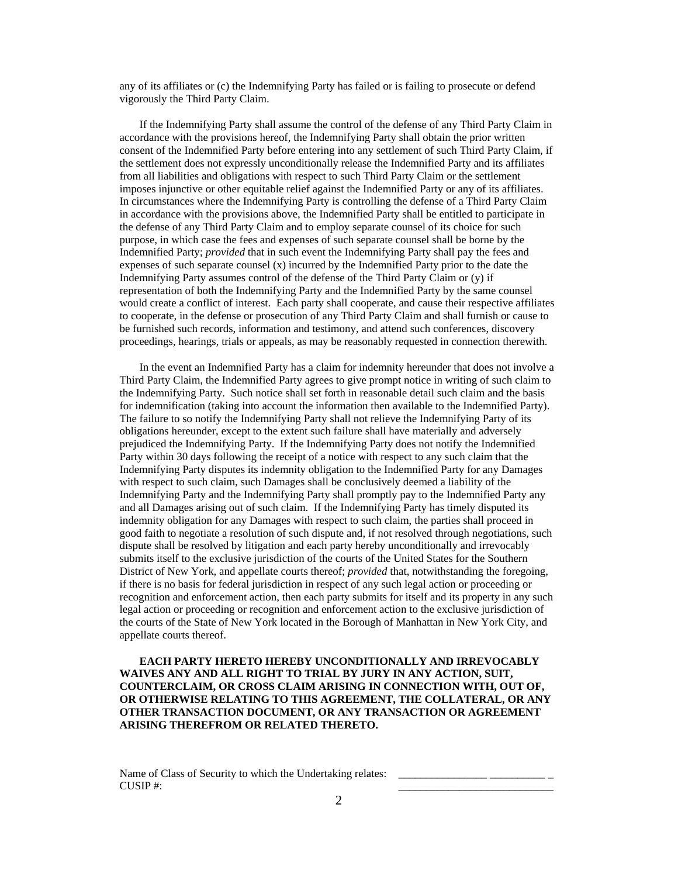any of its affiliates or (c) the Indemnifying Party has failed or is failing to prosecute or defend vigorously the Third Party Claim.

If the Indemnifying Party shall assume the control of the defense of any Third Party Claim in accordance with the provisions hereof, the Indemnifying Party shall obtain the prior written consent of the Indemnified Party before entering into any settlement of such Third Party Claim, if the settlement does not expressly unconditionally release the Indemnified Party and its affiliates from all liabilities and obligations with respect to such Third Party Claim or the settlement imposes injunctive or other equitable relief against the Indemnified Party or any of its affiliates. In circumstances where the Indemnifying Party is controlling the defense of a Third Party Claim in accordance with the provisions above, the Indemnified Party shall be entitled to participate in the defense of any Third Party Claim and to employ separate counsel of its choice for such purpose, in which case the fees and expenses of such separate counsel shall be borne by the Indemnified Party; *provided* that in such event the Indemnifying Party shall pay the fees and expenses of such separate counsel (x) incurred by the Indemnified Party prior to the date the Indemnifying Party assumes control of the defense of the Third Party Claim or (y) if representation of both the Indemnifying Party and the Indemnified Party by the same counsel would create a conflict of interest. Each party shall cooperate, and cause their respective affiliates to cooperate, in the defense or prosecution of any Third Party Claim and shall furnish or cause to be furnished such records, information and testimony, and attend such conferences, discovery proceedings, hearings, trials or appeals, as may be reasonably requested in connection therewith.

In the event an Indemnified Party has a claim for indemnity hereunder that does not involve a Third Party Claim, the Indemnified Party agrees to give prompt notice in writing of such claim to the Indemnifying Party. Such notice shall set forth in reasonable detail such claim and the basis for indemnification (taking into account the information then available to the Indemnified Party). The failure to so notify the Indemnifying Party shall not relieve the Indemnifying Party of its obligations hereunder, except to the extent such failure shall have materially and adversely prejudiced the Indemnifying Party. If the Indemnifying Party does not notify the Indemnified Party within 30 days following the receipt of a notice with respect to any such claim that the Indemnifying Party disputes its indemnity obligation to the Indemnified Party for any Damages with respect to such claim, such Damages shall be conclusively deemed a liability of the Indemnifying Party and the Indemnifying Party shall promptly pay to the Indemnified Party any and all Damages arising out of such claim. If the Indemnifying Party has timely disputed its indemnity obligation for any Damages with respect to such claim, the parties shall proceed in good faith to negotiate a resolution of such dispute and, if not resolved through negotiations, such dispute shall be resolved by litigation and each party hereby unconditionally and irrevocably submits itself to the exclusive jurisdiction of the courts of the United States for the Southern District of New York, and appellate courts thereof; *provided* that, notwithstanding the foregoing, if there is no basis for federal jurisdiction in respect of any such legal action or proceeding or recognition and enforcement action, then each party submits for itself and its property in any such legal action or proceeding or recognition and enforcement action to the exclusive jurisdiction of the courts of the State of New York located in the Borough of Manhattan in New York City, and appellate courts thereof.

### **EACH PARTY HERETO HEREBY UNCONDITIONALLY AND IRREVOCABLY WAIVES ANY AND ALL RIGHT TO TRIAL BY JURY IN ANY ACTION, SUIT, COUNTERCLAIM, OR CROSS CLAIM ARISING IN CONNECTION WITH, OUT OF, OR OTHERWISE RELATING TO THIS AGREEMENT, THE COLLATERAL, OR ANY OTHER TRANSACTION DOCUMENT, OR ANY TRANSACTION OR AGREEMENT ARISING THEREFROM OR RELATED THERETO.**

#### Name of Class of Security to which the Undertaking relates:  $\overline{\text{CUSIP}}$  #: